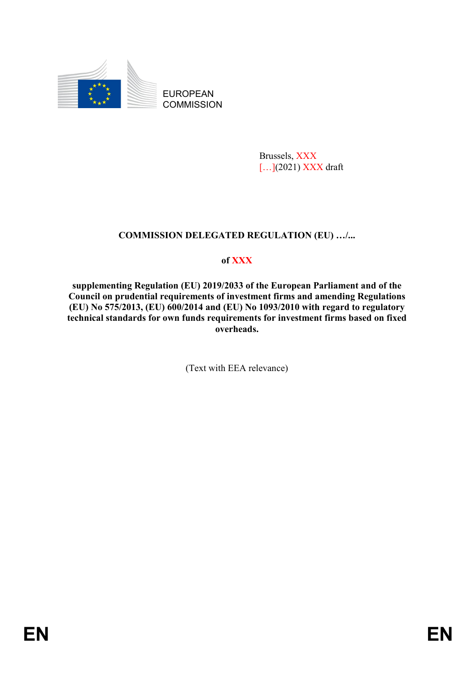

EUROPEAN **COMMISSION** 

> Brussels, XXX [...](2021) XXX draft

# **COMMISSION DELEGATED REGULATION (EU) …/...**

# **of XXX**

**supplementing Regulation (EU) 2019/2033 of the European Parliament and of the Council on prudential requirements of investment firms and amending Regulations (EU) No 575/2013, (EU) 600/2014 and (EU) No 1093/2010 with regard to regulatory technical standards for own funds requirements for investment firms based on fixed overheads.**

(Text with EEA relevance)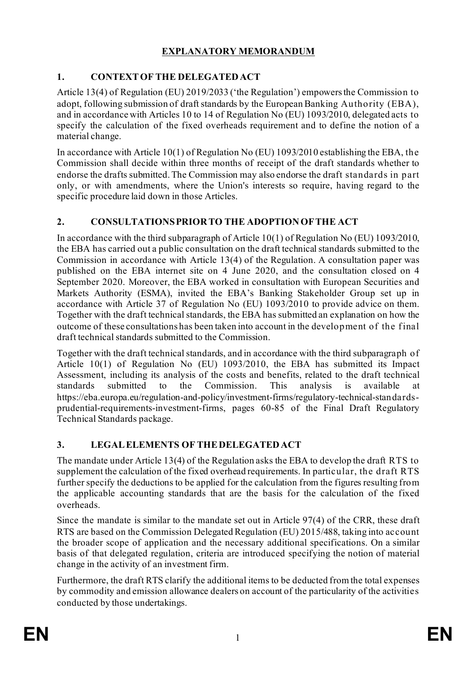# **EXPLANATORY MEMORANDUM**

# **1. CONTEXTOF THE DELEGATEDACT**

Article 13(4) of Regulation (EU) 2019/2033 ('the Regulation') empowers the Commission to adopt, following submission of draft standards by the European Banking Authority (EBA), and in accordance with Articles 10 to 14 of Regulation No (EU) 1093/2010, delegated acts to specify the calculation of the fixed overheads requirement and to define the notion of a material change.

In accordance with Article 10(1) of Regulation No (EU) 1093/2010 establishing the EBA, the Commission shall decide within three months of receipt of the draft standards whether to endorse the drafts submitted. The Commission may also endorse the draft standards in part only, or with amendments, where the Union's interests so require, having regard to the specific procedure laid down in those Articles.

# **2. CONSULTATIONSPRIOR TO THE ADOPTIONOFTHE ACT**

In accordance with the third subparagraph of Article 10(1) of Regulation No (EU) 1093/2010, the EBA has carried out a public consultation on the draft technical standards submitted to the Commission in accordance with Article 13(4) of the Regulation. A consultation paper was published on the EBA internet site on 4 June 2020, and the consultation closed on 4 September 2020. Moreover, the EBA worked in consultation with European Securities and Markets Authority (ESMA), invited the EBA's Banking Stakeholder Group set up in accordance with Article 37 of Regulation No (EU) 1093/2010 to provide advice on them. Together with the draft technical standards, the EBA has submitted an explanation on how the outcome of these consultations has been taken into account in the development of the final draft technical standards submitted to the Commission.

Together with the draft technical standards, and in accordance with the third subparagraph of Article 10(1) of Regulation No (EU) 1093/2010, the EBA has submitted its Impact Assessment, including its analysis of the costs and benefits, related to the draft technical standards submitted to the Commission. This analysis is available at https://eba.europa.eu/regulation-and-policy/investment-firms/regulatory-technical-standardsprudential-requirements-investment-firms, pages 60-85 of the Final Draft Regulatory Technical Standards package.

# **3. LEGALELEMENTS OF THEDELEGATEDACT**

The mandate under Article 13(4) of the Regulation asks the EBA to develop the draft RTS to supplement the calculation of the fixed overhead requirements. In particular, the draft RTS further specify the deductions to be applied for the calculation from the figures resulting from the applicable accounting standards that are the basis for the calculation of the fixed overheads.

Since the mandate is similar to the mandate set out in Article 97(4) of the CRR, these draft RTS are based on the Commission Delegated Regulation (EU) 2015/488, taking into account the broader scope of application and the necessary additional specifications. On a similar basis of that delegated regulation, criteria are introduced specifying the notion of material change in the activity of an investment firm.

Furthermore, the draft RTS clarify the additional items to be deducted from the total expenses by commodity and emission allowance dealers on account of the particularity of the activities conducted by those undertakings.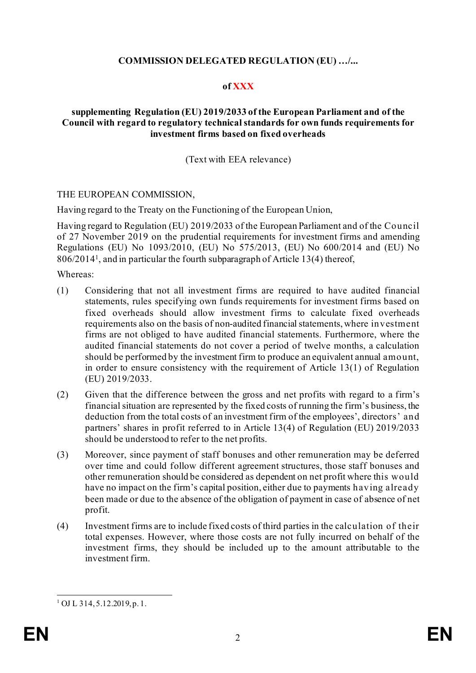### **COMMISSION DELEGATED REGULATION (EU) …/...**

## **of XXX**

#### **supplementing Regulation (EU) 2019/2033 of the European Parliament and of the Council with regard to regulatory technical standards for own funds requirements for investment firms based on fixed overheads**

(Text with EEA relevance)

#### THE EUROPEAN COMMISSION,

Having regard to the Treaty on the Functioning of the European Union,

Having regard to Regulation (EU) 2019/2033 of the European Parliament and of the Council of 27 November 2019 on the prudential requirements for investment firms and amending Regulations (EU) No 1093/2010, (EU) No 575/2013, (EU) No 600/2014 and (EU) No 806/2014[1](#page-2-0), and in particular the fourth subparagraph of Article 13(4) thereof,

Whereas:

- (1) Considering that not all investment firms are required to have audited financial statements, rules specifying own funds requirements for investment firms based on fixed overheads should allow investment firms to calculate fixed overheads requirements also on the basis of non-audited financial statements, where investment firms are not obliged to have audited financial statements. Furthermore, where the audited financial statements do not cover a period of twelve months, a calculation should be performed by the investment firm to produce an equivalent annual amount, in order to ensure consistency with the requirement of Article 13(1) of Regulation (EU) 2019/2033.
- (2) Given that the difference between the gross and net profits with regard to a firm's financial situation are represented by the fixed costs of running the firm's business, the deduction from the total costs of an investment firm of the employees', directors' and partners' shares in profit referred to in Article 13(4) of Regulation (EU) 2019/2033 should be understood to refer to the net profits.
- (3) Moreover, since payment of staff bonuses and other remuneration may be deferred over time and could follow different agreement structures, those staff bonuses and other remuneration should be considered as dependent on net profit where this would have no impact on the firm's capital position, either due to payments having already been made or due to the absence of the obligation of payment in case of absence of net profit.
- (4) Investment firms are to include fixed costs of third parties in the calculation of their total expenses. However, where those costs are not fully incurred on behalf of the investment firms, they should be included up to the amount attributable to the investment firm.

<span id="page-2-0"></span> $1$  OJ L 314, 5.12.2019, p. 1.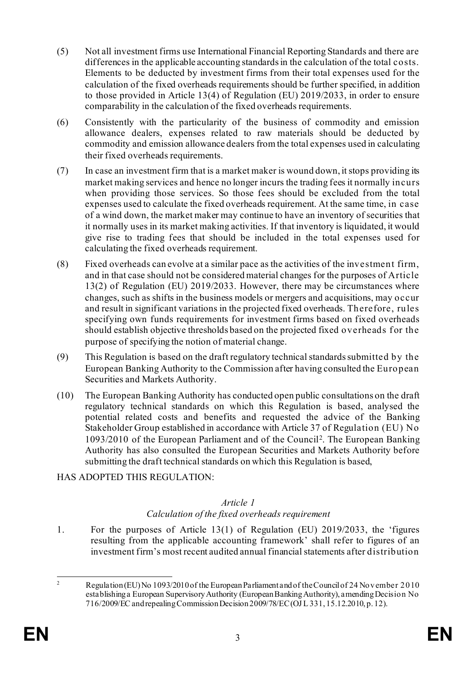- (5) Not all investment firms use International Financial Reporting Standards and there are differences in the applicable accounting standards in the calculation of the total costs. Elements to be deducted by investment firms from their total expenses used for the calculation of the fixed overheads requirements should be further specified, in addition to those provided in Article 13(4) of Regulation (EU) 2019/2033, in order to ensure comparability in the calculation of the fixed overheads requirements.
- (6) Consistently with the particularity of the business of commodity and emission allowance dealers, expenses related to raw materials should be deducted by commodity and emission allowance dealers from the total expenses used in calculating their fixed overheads requirements.
- (7) In case an investment firm that is a market maker is wound down, it stops providing its market making services and hence no longer incurs the trading fees it normally incurs when providing those services. So those fees should be excluded from the total expenses used to calculate the fixed overheads requirement. At the same time, in case of a wind down, the market maker may continue to have an inventory of securities that it normally uses in its market making activities. If that inventory is liquidated, it would give rise to trading fees that should be included in the total expenses used for calculating the fixed overheads requirement.
- (8) Fixed overheads can evolve at a similar pace as the activities of the investment firm, and in that case should not be considered material changes for the purposes of Article 13(2) of Regulation (EU) 2019/2033. However, there may be circumstances where changes, such as shifts in the business models or mergers and acquisitions, may occur and result in significant variations in the projected fixed overheads. Therefore, rules specifying own funds requirements for investment firms based on fixed overheads should establish objective thresholds based on the projected fixed overheads for the purpose of specifying the notion of material change.
- (9) This Regulation is based on the draft regulatory technical standards submitted by the European Banking Authority to the Commission after having consulted the European Securities and Markets Authority.
- (10) The European Banking Authority has conducted open public consultations on the draft regulatory technical standards on which this Regulation is based, analysed the potential related costs and benefits and requested the advice of the Banking Stakeholder Group established in accordance with Article 37 of Regulation (EU) No 1093/2010 of the European Parliament and of the Council[2](#page-3-0). The European Banking Authority has also consulted the European Securities and Markets Authority before submitting the draft technical standards on which this Regulation is based,

## HAS ADOPTED THIS REGULATION:

## *Article 1*

## *Calculation of the fixed overheads requirement*

1. For the purposes of Article 13(1) of Regulation (EU) 2019/2033, the 'figures resulting from the applicable accounting framework' shall refer to figures of an investment firm's most recent audited annual financial statements after distribution

<span id="page-3-0"></span><sup>&</sup>lt;sup>2</sup> Regulation (EU) No 1093/2010 of the European Parliament and of the Council of 24 November 2010 establishing a European Supervisory Authority (European Banking Authority), amending Decision No 716/2009/EC and repealing Commission Decision 2009/78/EC(OJ L 331, 15.12.2010, p. 12).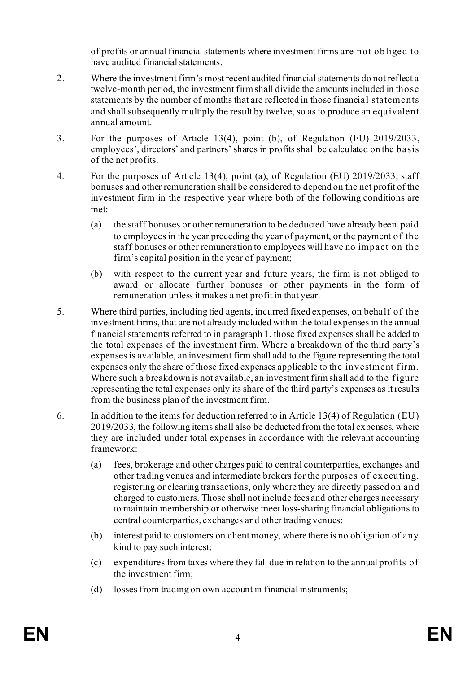of profits or annual financial statements where investment firms are not obliged to have audited financial statements.

- 2. Where the investment firm's most recent audited financial statements do not reflect a twelve-month period, the investment firm shall divide the amounts included in those statements by the number of months that are reflected in those financial statements and shall subsequently multiply the result by twelve, so as to produce an equivalent annual amount.
- 3. For the purposes of Article 13(4), point (b), of Regulation (EU) 2019/2033, employees', directors' and partners' shares in profits shall be calculated on the basis of the net profits.
- 4. For the purposes of Article 13(4), point (a), of Regulation (EU) 2019/2033, staff bonuses and other remuneration shall be considered to depend on the net profit of the investment firm in the respective year where both of the following conditions are met:
	- (a) the staff bonuses or other remuneration to be deducted have already been paid to employees in the year preceding the year of payment, or the payment of the staff bonuses or other remuneration to employees will have no impact on the firm's capital position in the year of payment;
	- (b) with respect to the current year and future years, the firm is not obliged to award or allocate further bonuses or other payments in the form of remuneration unless it makes a net profit in that year.
- 5. Where third parties, including tied agents, incurred fixed expenses, on behalf of the investment firms, that are not already included within the total expenses in the annual financial statements referred to in paragraph 1, those fixed expenses shall be added to the total expenses of the investment firm. Where a breakdown of the third party's expenses is available, an investment firm shall add to the figure representing the total expenses only the share of those fixed expenses applicable to the investment firm. Where such a breakdown is not available, an investment firm shall add to the figure representing the total expenses only its share of the third party's expenses as it results from the business plan of the investment firm.
- 6. In addition to the items for deduction referred to in Article 13(4) of Regulation (EU) 2019/2033, the following items shall also be deducted from the total expenses, where they are included under total expenses in accordance with the relevant accounting framework:
	- (a) fees, brokerage and other charges paid to central counterparties, exchanges and other trading venues and intermediate brokers for the purposes of executing, registering or clearing transactions, only where they are directly passed on and charged to customers. Those shall not include fees and other charges necessary to maintain membership or otherwise meet loss-sharing financial obligations to central counterparties, exchanges and other trading venues;
	- (b) interest paid to customers on client money, where there is no obligation of any kind to pay such interest;
	- (c) expenditures from taxes where they fall due in relation to the annual profits of the investment firm;
	- (d) losses from trading on own account in financial instruments;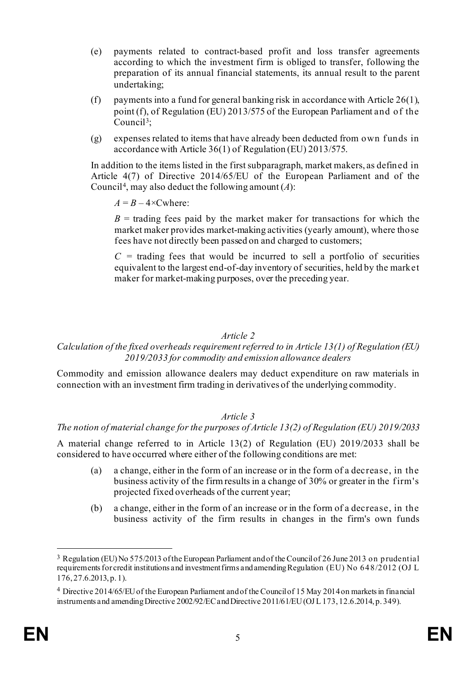- (e) payments related to contract-based profit and loss transfer agreements according to which the investment firm is obliged to transfer, following the preparation of its annual financial statements, its annual result to the parent undertaking;
- (f) payments into a fund for general banking risk in accordance with Article 26(1), point (f), of Regulation (EU) 2013/575 of the European Parliament and of the Council[3](#page-5-0);
- $(g)$  expenses related to items that have already been deducted from own funds in accordance with Article 36(1) of Regulation (EU) 2013/575.

In addition to the items listed in the first subparagraph, market makers, as defined in Article 4(7) of Directive 2014/65/EU of the European Parliament and of the Council[4,](#page-5-1) may also deduct the following amount (*A*):

 $A = B - 4 \times$ Cwhere:

 $B =$  trading fees paid by the market maker for transactions for which the market maker provides market-making activities (yearly amount), where those fees have not directly been passed on and charged to customers;

 $C$  = trading fees that would be incurred to sell a portfolio of securities equivalent to the largest end-of-day inventory of securities, held by the market maker for market-making purposes, over the preceding year.

#### *Article 2*

### *Calculation of the fixed overheads requirement referred to in Article 13(1) of Regulation (EU) 2019/2033 for commodity and emission allowance dealers*

Commodity and emission allowance dealers may deduct expenditure on raw materials in connection with an investment firm trading in derivatives of the underlying commodity.

#### *Article 3*

#### *The notion of material change for the purposes of Article 13(2) of Regulation (EU) 2019/2033*

A material change referred to in Article 13(2) of Regulation (EU) 2019/2033 shall be considered to have occurred where either of the following conditions are met:

- (a) a change, either in the form of an increase or in the form of a decrease, in the business activity of the firm results in a change of 30% or greater in the f irm's projected fixed overheads of the current year;
- (b) a change, either in the form of an increase or in the form of a decrease, in the business activity of the firm results in changes in the firm's own funds

<span id="page-5-0"></span><sup>3</sup> Regulation (EU) No 575/2013 of the European Parliament and of the Council of 26 June 2013 on prudential requirements for credit institutions and investment firms and amending Regulation (EU) No 648/2012 (OJ L 176, 27.6.2013, p. 1).

<span id="page-5-1"></span><sup>4</sup> Directive 2014/65/EU of the European Parliament and of the Council of 15 May 2014 on markets in financial instruments and amending Directive 2002/92/EC and Directive 2011/61/EU (OJ L 173, 12.6.2014, p. 349).